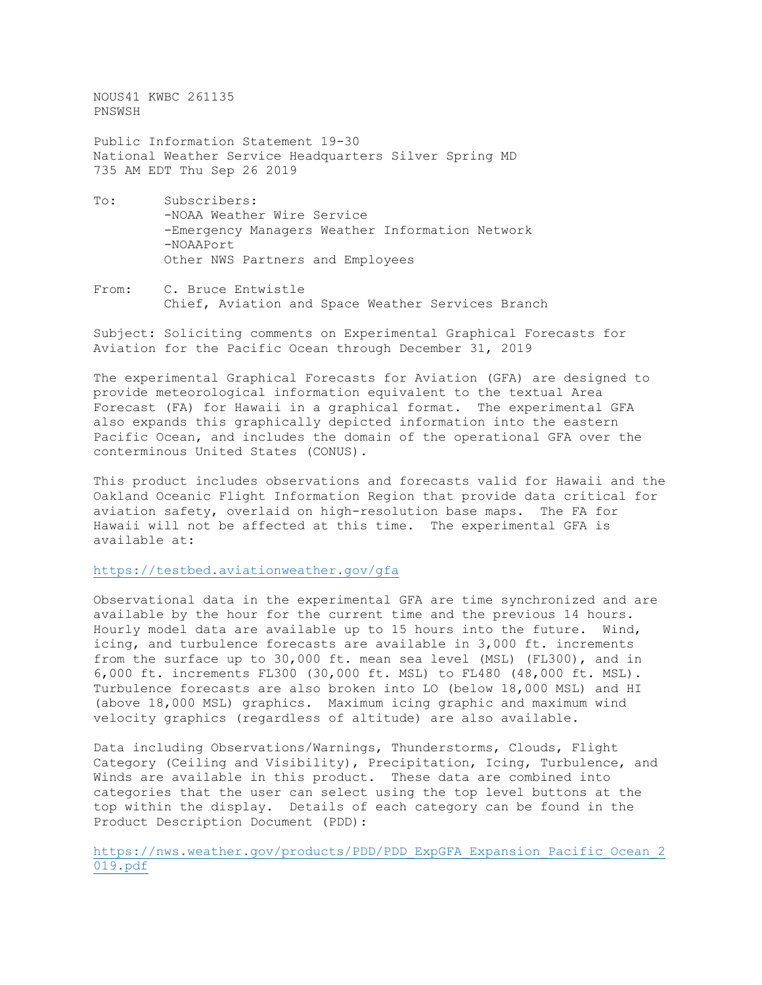NOUS41 KWBC 261135 PNSWSH

Public Information Statement 19-30 National Weather Service Headquarters Silver Spring MD 735 AM EDT Thu Sep 26 2019

- To: Subscribers: -NOAA Weather Wire Service -Emergency Managers Weather Information Network -NOAAPort Other NWS Partners and Employees
- From: C. Bruce Entwistle Chief, Aviation and Space Weather Services Branch

Subject: Soliciting comments on Experimental Graphical Forecasts for Aviation for the Pacific Ocean through December 31, 2019

The experimental Graphical Forecasts for Aviation (GFA) are designed to provide meteorological information equivalent to the textual Area Forecast (FA) for Hawaii in a graphical format. The experimental GFA also expands this graphically depicted information into the eastern Pacific Ocean, and includes the domain of the operational GFA over the conterminous United States (CONUS).

This product includes observations and forecasts valid for Hawaii and the Oakland Oceanic Flight Information Region that provide data critical for aviation safety, overlaid on high-resolution base maps. The FA for Hawaii will not be affected at this time. The experimental GFA is available at:

## <https://testbed.aviationweather.gov/gfa>

Observational data in the experimental GFA are time synchronized and are available by the hour for the current time and the previous 14 hours. Hourly model data are available up to 15 hours into the future. Wind, icing, and turbulence forecasts are available in 3,000 ft. increments from the surface up to 30,000 ft. mean sea level (MSL) (FL300), and in 6,000 ft. increments FL300 (30,000 ft. MSL) to FL480 (48,000 ft. MSL). Turbulence forecasts are also broken into LO (below 18,000 MSL) and HI (above 18,000 MSL) graphics. Maximum icing graphic and maximum wind velocity graphics (regardless of altitude) are also available.

Data including Observations/Warnings, Thunderstorms, Clouds, Flight Category (Ceiling and Visibility), Precipitation, Icing, Turbulence, and Winds are available in this product. These data are combined into categories that the user can select using the top level buttons at the top within the display. Details of each category can be found in the Product Description Document (PDD):

[https://nws.weather.gov/products/PDD/PDD\\_ExpGFA\\_Expansion\\_Pacific\\_Ocean\\_2](https://nws.weather.gov/products/PDD/PDD_ExpGFA_Expansion_Pacific_Ocean_2019.pdf) [019.pdf](https://nws.weather.gov/products/PDD/PDD_ExpGFA_Expansion_Pacific_Ocean_2019.pdf)